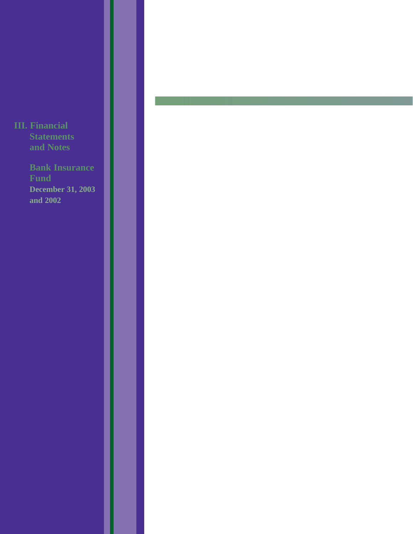**III. Financial Statements and Notes**

> **Bank Insurance Fund December 31, 2003 and 2002**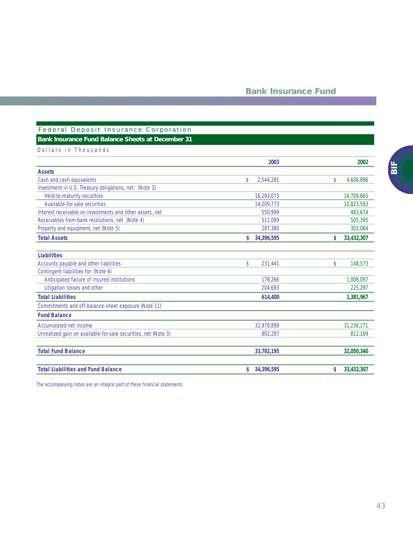## Federal Deposit Insurance Corporation **Bank Insurance Fund Balance Sheets at December 31**

## Dollars in Thousands

|                                                                | 2003             | 2002             |
|----------------------------------------------------------------|------------------|------------------|
| <b>Assets</b>                                                  |                  |                  |
| Cash and cash equivalents                                      | \$<br>2,544,281  | \$<br>4,606,896  |
| Investment in U.S. Treasury obligations, net: (Note 3)         |                  |                  |
| Held-to-maturity securities                                    | 16,293,073       | 16,709,665       |
| Available-for-sale securities                                  | 14.209.773       | 10,823,593       |
| Interest receivable on investments and other assets, net       | 550,999          | 483,674          |
| Receivables from bank resolutions, net (Note 4)                | 511,089          | 505,395          |
| Property and equipment, net (Note 5)                           | 287,380          | 303,084          |
| <b>Total Assets</b>                                            | \$<br>34,396,595 | \$<br>33,432,307 |
| <b>Liabilities</b>                                             |                  |                  |
| Accounts payable and other liabilities                         | \$<br>231,441    | \$<br>148,573    |
| Contingent liabilities for: (Note 6)                           |                  |                  |
| Anticipated failure of insured institutions                    | 178.266          | 1.008.097        |
| Litigation losses and other                                    | 204,693          | 225,297          |
| <b>Total Liabilities</b>                                       | 614,400          | 1,381,967        |
| Commitments and off-balance-sheet exposure (Note 11)           |                  |                  |
| <b>Fund Balance</b>                                            |                  |                  |
| Accumulated net income                                         | 32.979.898       | 31,238,171       |
| Unrealized gain on available-for-sale securities, net (Note 3) | 802,297          | 812,169          |
| <b>Total Fund Balance</b>                                      | 33,782,195       | 32,050,340       |
| <b>Total Liabilities and Fund Balance</b>                      | \$<br>34,396,595 | \$<br>33,432,307 |

*The accompanying notes are an integral part of these financial statements.*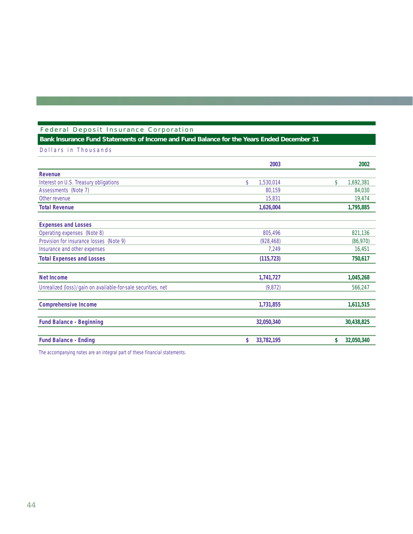## Federal Deposit Insurance Corporation

## **Bank Insurance Fund Statements of Income and Fund Balance for the Years Ended December 31**

Dollars in Thousands

|                                                                | 2003                       | 2002             |
|----------------------------------------------------------------|----------------------------|------------------|
| Revenue                                                        |                            |                  |
| Interest on U.S. Treasury obligations                          | $\mathsf{\$}$<br>1,530,014 | \$<br>1,692,381  |
| Assessments (Note 7)                                           | 80,159                     | 84,030           |
| Other revenue                                                  | 15,831                     | 19,474           |
| <b>Total Revenue</b>                                           | 1,626,004                  | 1,795,885        |
| <b>Expenses and Losses</b>                                     |                            |                  |
| Operating expenses (Note 8)                                    | 805,496                    | 821,136          |
| Provision for insurance losses (Note 9)                        | (928, 468)                 | (86,970)         |
| Insurance and other expenses                                   | 7,249                      | 16,451           |
| <b>Total Expenses and Losses</b>                               | (115, 723)                 | 750,617          |
| <b>Net Income</b>                                              | 1,741,727                  | 1,045,268        |
| Unrealized (loss) / gain on available-for-sale securities, net | (9,872)                    | 566,247          |
| <b>Comprehensive Income</b>                                    | 1,731,855                  | 1,611,515        |
| <b>Fund Balance - Beginning</b>                                | 32,050,340                 | 30,438,825       |
| <b>Fund Balance - Ending</b>                                   | \$<br>33,782,195           | \$<br>32,050,340 |

*The accompanying notes are an integral part of these financial statements.*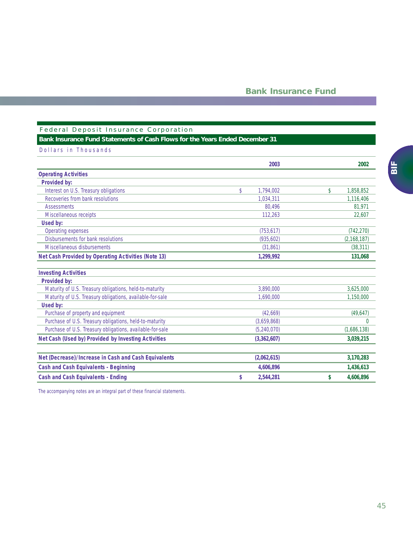## Federal Deposit Insurance Corporation

## **Bank Insurance Fund Statements of Cash Flows for the Years Ended December 31**

| Dollars in Thousands |  |  |
|----------------------|--|--|
|----------------------|--|--|

|                                                            | 2003                       | 2002                       |
|------------------------------------------------------------|----------------------------|----------------------------|
| <b>Operating Activities</b>                                |                            |                            |
| Provided by:                                               |                            |                            |
| Interest on U.S. Treasury obligations                      | $\mathsf{\$}$<br>1.794.002 | $\mathsf{\$}$<br>1.858.852 |
| Recoveries from bank resolutions                           | 1.034.311                  | 1,116,406                  |
| <b>Assessments</b>                                         | 80.496                     | 81,971                     |
| Miscellaneous receipts                                     | 112,263                    | 22,607                     |
| Used by:                                                   |                            |                            |
| Operating expenses                                         | (753, 617)                 | (742, 270)                 |
| Disbursements for bank resolutions                         | (935,602)                  | (2, 168, 187)              |
| Miscellaneous disbursements                                | (31,861)                   | (38, 311)                  |
| <b>Net Cash Provided by Operating Activities (Note 13)</b> | 1,299,992                  | 131,068                    |
| <b>Investing Activities</b>                                |                            |                            |
| Provided by:                                               |                            |                            |
| Maturity of U.S. Treasury obligations, held-to-maturity    | 3,890,000                  | 3,625,000                  |
| Maturity of U.S. Treasury obligations, available-for-sale  | 1.690.000                  | 1,150,000                  |
| Used by:                                                   |                            |                            |
| Purchase of property and equipment                         | (42,669)                   | (49, 647)                  |
| Purchase of U.S. Treasury obligations, held-to-maturity    | (3,659,868)                | $\Omega$                   |
| Purchase of U.S. Treasury obligations, available-for-sale  | (5,240,070)                | (1,686,138)                |
| Net Cash (Used by) Provided by Investing Activities        | (3,362,607)                | 3,039,215                  |
| Net (Decrease)/Increase in Cash and Cash Equivalents       | (2,062,615)                | 3,170,283                  |
| <b>Cash and Cash Equivalents - Beginning</b>               | 4,606,896                  | 1,436,613                  |
| <b>Cash and Cash Equivalents - Ending</b>                  | 2,544,281<br>\$            | 4,606,896<br>\$            |

*The accompanying notes are an integral part of these financial statements.*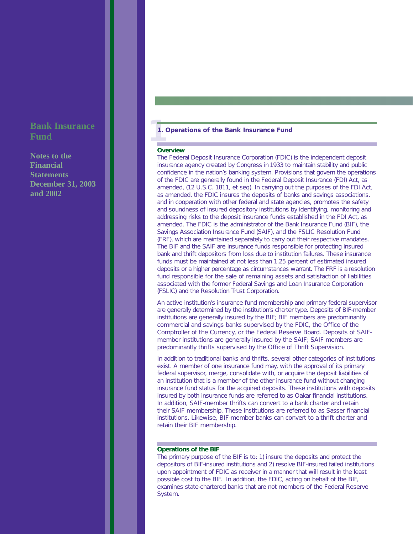**Notes to the Financial Statements December 31, 2003 and 2002**

### **11. Operations of the Bank Insurance Fund**

### **Overview**

The Federal Deposit Insurance Corporation (FDIC) is the independent deposit insurance agency created by Congress in 1933 to maintain stability and public confidence in the nation's banking system. Provisions that govern the operations of the FDIC are generally found in the Federal Deposit Insurance (FDI) Act, as amended, (12 U.S.C. 1811, *et seq*). In carrying out the purposes of the FDI Act, as amended, the FDIC insures the deposits of banks and savings associations, and in cooperation with other federal and state agencies, promotes the safety and soundness of insured depository institutions by identifying, monitoring and addressing risks to the deposit insurance funds established in the FDI Act, as amended. The FDIC is the administrator of the Bank Insurance Fund (BIF), the Savings Association Insurance Fund (SAIF), and the FSLIC Resolution Fund (FRF), which are maintained separately to carry out their respective mandates. The BIF and the SAIF are insurance funds responsible for protecting insured bank and thrift depositors from loss due to institution failures. These insurance funds must be maintained at not less than 1.25 percent of estimated insured deposits or a higher percentage as circumstances warrant. The FRF is a resolution fund responsible for the sale of remaining assets and satisfaction of liabilities associated with the former Federal Savings and Loan Insurance Corporation (FSLIC) and the Resolution Trust Corporation.

An active institution's insurance fund membership and primary federal supervisor are generally determined by the institution's charter type. Deposits of BIF-member institutions are generally insured by the BIF; BIF members are predominantly commercial and savings banks supervised by the FDIC, the Office of the Comptroller of the Currency, or the Federal Reserve Board. Deposits of SAIFmember institutions are generally insured by the SAIF; SAIF members are predominantly thrifts supervised by the Office of Thrift Supervision.

In addition to traditional banks and thrifts, several other categories of institutions exist. A member of one insurance fund may, with the approval of its primary federal supervisor, merge, consolidate with, or acquire the deposit liabilities of an institution that is a member of the other insurance fund without changing insurance fund status for the acquired deposits. These institutions with deposits insured by both insurance funds are referred to as Oakar financial institutions. In addition, SAIF-member thrifts can convert to a bank charter and retain their SAIF membership. These institutions are referred to as Sasser financial institutions. Likewise, BIF-member banks can convert to a thrift charter and retain their BIF membership.

## **Operations of the BIF**

The primary purpose of the BIF is to: 1) insure the deposits and protect the depositors of BIF-insured institutions and 2) resolve BIF-insured failed institutions upon appointment of FDIC as receiver in a manner that will result in the least possible cost to the BIF. In addition, the FDIC, acting on behalf of the BIF, examines state-chartered banks that are not members of the Federal Reserve System.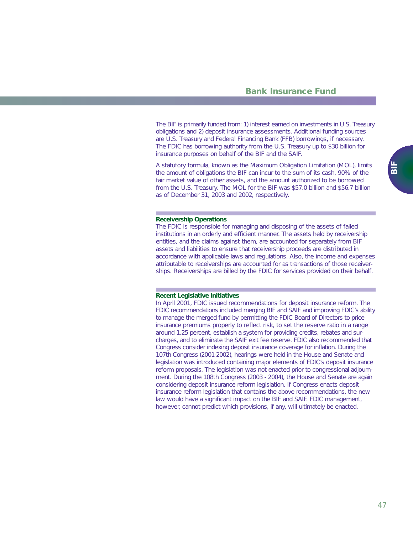The BIF is primarily funded from: 1) interest earned on investments in U.S. Treasury obligations and 2) deposit insurance assessments. Additional funding sources are U.S. Treasury and Federal Financing Bank (FFB) borrowings, if necessary. The FDIC has borrowing authority from the U.S. Treasury up to \$30 billion for insurance purposes on behalf of the BIF and the SAIF.

A statutory formula, known as the Maximum Obligation Limitation (MOL), limits the amount of obligations the BIF can incur to the sum of its cash, 90% of the fair market value of other assets, and the amount authorized to be borrowed from the U.S. Treasury. The MOL for the BIF was \$57.0 billion and \$56.7 billion as of December 31, 2003 and 2002, respectively.

#### **Receivership Operations**

The FDIC is responsible for managing and disposing of the assets of failed institutions in an orderly and efficient manner. The assets held by receivership entities, and the claims against them, are accounted for separately from BIF assets and liabilities to ensure that receivership proceeds are distributed in accordance with applicable laws and regulations. Also, the income and expenses attributable to receiverships are accounted for as transactions of those receiverships. Receiverships are billed by the FDIC for services provided on their behalf.

#### **Recent Legislative Initiatives**

In April 2001, FDIC issued recommendations for deposit insurance reform. The FDIC recommendations included merging BIF and SAIF and improving FDIC's ability to manage the merged fund by permitting the FDIC Board of Directors to price insurance premiums properly to reflect risk, to set the reserve ratio in a *range* around 1.25 percent, establish a system for providing credits, rebates and surcharges, and to eliminate the SAIF exit fee reserve. FDIC also recommended that Congress consider indexing deposit insurance coverage for inflation. During the 107th Congress (2001-2002), hearings were held in the House and Senate and legislation was introduced containing major elements of FDIC's deposit insurance reform proposals. The legislation was not enacted prior to congressional adjournment. During the 108th Congress (2003 - 2004), the House and Senate are again considering deposit insurance reform legislation. If Congress enacts deposit insurance reform legislation that contains the above recommendations, the new law would have a significant impact on the BIF and SAIF. FDIC management, however, cannot predict which provisions, if any, will ultimately be enacted.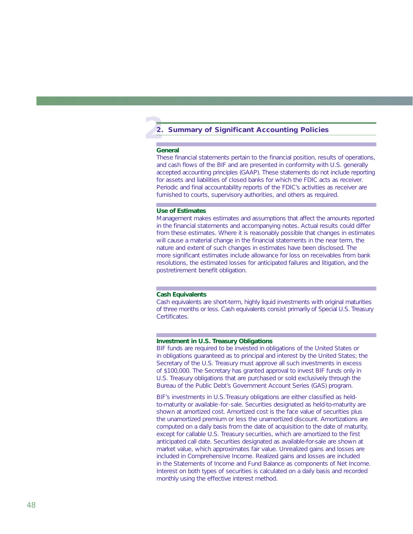# **2 2. Summary of Significant Accounting Policies**

### **General**

These financial statements pertain to the financial position, results of operations, and cash flows of the BIF and are presented in conformity with U.S. generally accepted accounting principles (GAAP). These statements do not include reporting for assets and liabilities of closed banks for which the FDIC acts as receiver. Periodic and final accountability reports of the FDIC's activities as receiver are furnished to courts, supervisory authorities, and others as required.

### **Use of Estimates**

Management makes estimates and assumptions that affect the amounts reported in the financial statements and accompanying notes. Actual results could differ from these estimates. Where it is reasonably possible that changes in estimates will cause a material change in the financial statements in the near term, the nature and extent of such changes in estimates have been disclosed. The more significant estimates include allowance for loss on receivables from bank resolutions, the estimated losses for anticipated failures and litigation, and the postretirement benefit obligation.

#### **Cash Equivalents**

Cash equivalents are short-term, highly liquid investments with original maturities of three months or less. Cash equivalents consist primarily of Special U.S. Treasury Certificates.

#### **Investment in U.S. Treasury Obligations**

BIF funds are required to be invested in obligations of the United States or in obligations guaranteed as to principal and interest by the United States; the Secretary of the U.S. Treasury must approve all such investments in excess of \$100,000. The Secretary has granted approval to invest BIF funds only in U.S. Treasury obligations that are purchased or sold exclusively through the Bureau of the Public Debt's Government Account Series (GAS) program.

BIF's investments in U.S. Treasury obligations are either classified as heldto-maturity or available-for-sale. Securities designated as held-to-maturity are shown at amortized cost. Amortized cost is the face value of securities plus the unamortized premium or less the unamortized discount. Amortizations are computed on a daily basis from the date of acquisition to the date of maturity, except for callable U.S. Treasury securities, which are amortized to the first anticipated call date. Securities designated as available-for-sale are shown at market value, which approximates fair value. Unrealized gains and losses are included in Comprehensive Income. Realized gains and losses are included in the Statements of Income and Fund Balance as components of Net Income. Interest on both types of securities is calculated on a daily basis and recorded monthly using the effective interest method.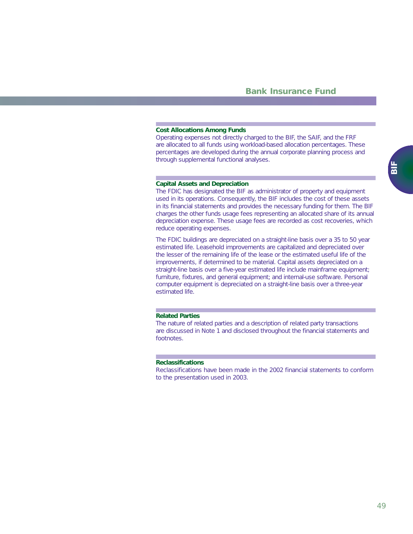### **Cost Allocations Among Funds**

Operating expenses not directly charged to the BIF, the SAIF, and the FRF are allocated to all funds using workload-based allocation percentages. These percentages are developed during the annual corporate planning process and through supplemental functional analyses.

### **Capital Assets and Depreciation**

The FDIC has designated the BIF as administrator of property and equipment used in its operations. Consequently, the BIF includes the cost of these assets in its financial statements and provides the necessary funding for them. The BIF charges the other funds usage fees representing an allocated share of its annual depreciation expense. These usage fees are recorded as cost recoveries, which reduce operating expenses.

The FDIC buildings are depreciated on a straight-line basis over a 35 to 50 year estimated life. Leasehold improvements are capitalized and depreciated over the lesser of the remaining life of the lease or the estimated useful life of the improvements, if determined to be material. Capital assets depreciated on a straight-line basis over a five-year estimated life include mainframe equipment; furniture, fixtures, and general equipment; and internal-use software. Personal computer equipment is depreciated on a straight-line basis over a three-year estimated life.

### **Related Parties**

The nature of related parties and a description of related party transactions are discussed in Note 1 and disclosed throughout the financial statements and footnotes.

### **Reclassifications**

Reclassifications have been made in the 2002 financial statements to conform to the presentation used in 2003.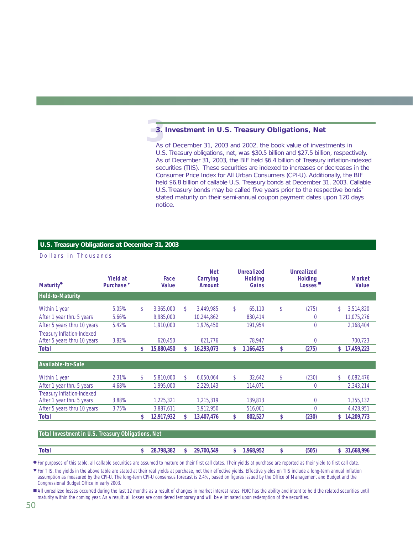# **3**. **3. Investment in U.S. Treasury Obligations, Net**

As of December 31, 2003 and 2002, the book value of investments in U.S. Treasury obligations, net, was \$30.5 billion and \$27.5 billion, respectively. As of December 31, 2003, the BIF held \$6.4 billion of Treasury inflation-indexed securities (TIIS). These securities are indexed to increases or decreases in the Consumer Price Index for All Urban Consumers (CPI-U). Additionally, the BIF held \$6.8 billion of callable U.S. Treasury bonds at December 31, 2003. Callable U.S.Treasury bonds may be called five years prior to the respective bonds' stated maturity on their semi-annual coupon payment dates upon 120 days notice.

## **U.S. Treasury Obligations at December 31, 2003**

| Dollars in Thousands                                      |                                          |              |                      |                                  |                                       |                                               |     |                               |
|-----------------------------------------------------------|------------------------------------------|--------------|----------------------|----------------------------------|---------------------------------------|-----------------------------------------------|-----|-------------------------------|
| <b>Maturity</b> <sup>•</sup>                              | <b>Yield at</b><br>Purchase <sup>v</sup> |              | Face<br><b>Value</b> | <b>Net</b><br>Carrying<br>Amount | Unrealized<br><b>Holding</b><br>Gains | <b>Unrealized</b><br><b>Holding</b><br>Losses |     | <b>Market</b><br><b>Value</b> |
| <b>Held-to-Maturity</b>                                   |                                          |              |                      |                                  |                                       |                                               |     |                               |
| Within 1 year                                             | 5.05%                                    | $\mathbb{S}$ | 3,365,000            | \$<br>3,449,985                  | \$<br>65,110                          | \$<br>(275)                                   | \$  | 3,514,820                     |
| After 1 year thru 5 years                                 | 5.66%                                    |              | 9,985,000            | 10,244,862                       | 830,414                               | $\overline{0}$                                |     | 11,075,276                    |
| After 5 years thru 10 years                               | 5.42%                                    |              | 1,910,000            | 1,976,450                        | 191,954                               | $\overline{0}$                                |     | 2,168,404                     |
| Treasury Inflation-Indexed<br>After 5 years thru 10 years | 3.82%                                    |              | 620,450              | 621,776                          | 78,947                                | $\theta$                                      |     | 700,723                       |
| <b>Total</b>                                              |                                          | S.           | 15,880,450           | \$<br>16,293,073                 | \$<br>1,166,425                       | \$<br>(275)                                   | \$. | 17,459,223                    |
| Available-for-Sale                                        |                                          |              |                      |                                  |                                       |                                               |     |                               |
| Within 1 year                                             | 2.31%                                    | \$           | 5,810,000            | \$<br>6,050,064                  | \$<br>32,642                          | \$<br>(230)                                   | \$  | 6,082,476                     |
| After 1 year thru 5 years                                 | 4.68%                                    |              | 1,995,000            | 2,229,143                        | 114,071                               | $\theta$                                      |     | 2,343,214                     |
| Treasury Inflation-Indexed<br>After 1 year thru 5 years   | 3.88%                                    |              | 1,225,321            | 1,215,319                        | 139,813                               | $\overline{0}$                                |     | 1,355,132                     |
| After 5 years thru 10 years                               | 3.75%                                    |              | 3,887,611            | 3,912,950                        | 516,001                               | $\overline{0}$                                |     | 4,428,951                     |
| <b>Total</b>                                              |                                          | \$           | 12,917,932           | \$<br>13,407,476                 | \$<br>802,527                         | \$<br>(230)                                   | \$  | 14,209,773                    |
|                                                           |                                          |              |                      |                                  |                                       |                                               |     |                               |
| Total Investment in U.S. Treasury Obligations, Net        |                                          |              |                      |                                  |                                       |                                               |     |                               |

| <b>Tota</b> |  | 549<br>ാറ<br>700 | ∕ ¤ە ∕<br>чnь.<br>7J L | '505. | o۵<br>ാറെ. |
|-------------|--|------------------|------------------------|-------|------------|
|             |  |                  |                        |       |            |

● For purposes of this table, all callable securities are assumed to mature on their first call dates. Their yields at purchase are reported as their yield to first call date.

▼ For TIIS, the yields in the above table are stated at their real yields at purchase, not their effective yields. Effective yields on TIIS include a long-term annual inflation assumption as measured by the CPI-U. The long-term CPI-U consensus forecast is 2.4%, based on figures issued by the Office of Management and Budget and the Congressional Budget Office in early 2003.

■ All unrealized losses occurred during the last 12 months as a result of changes in market interest rates. FDIC has the ability and intent to hold the related securities until maturity within the coming year. As a result, all losses are considered temporary and will be eliminated upon redemption of the securities.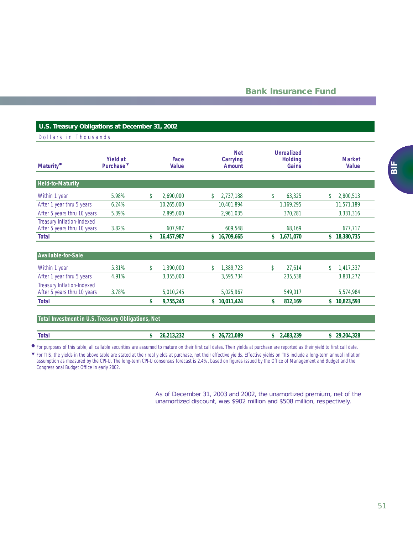## **U.S. Treasury Obligations at December 31, 2002**

## Dollars in Thousands

| <b>Maturity</b> <sup>•</sup>                                     | <b>Yield at</b><br>Purchase <sup>v</sup> | Face<br><b>Value</b> |              | <b>Net</b><br>Carrying<br><b>Amount</b> | <b>Unrealized</b><br><b>Holding</b><br>Gains | <b>Market</b><br><b>Value</b> |
|------------------------------------------------------------------|------------------------------------------|----------------------|--------------|-----------------------------------------|----------------------------------------------|-------------------------------|
| <b>Held-to-Maturity</b>                                          |                                          |                      |              |                                         |                                              |                               |
| Within 1 year                                                    | 5.98%                                    | \$<br>2,690,000      | \$           | 2,737,188                               | \$<br>63,325                                 | \$<br>2,800,513               |
| After 1 year thru 5 years                                        | 6.24%                                    | 10,265,000           |              | 10,401,894                              | 1,169,295                                    | 11,571,189                    |
| After 5 years thru 10 years                                      | 5.39%                                    | 2,895,000            |              | 2,961,035                               | 370,281                                      | 3,331,316                     |
| <b>Treasury Inflation-Indexed</b><br>After 5 years thru 10 years | 3.82%                                    | 607,987              |              | 609.548                                 | 68,169                                       | 677,717                       |
| <b>Total</b>                                                     |                                          | \$<br>16,457,987     | \$           | 16,709,665                              | \$<br>1,671,070                              | \$<br>18,380,735              |
| Available-for-Sale                                               |                                          |                      |              |                                         |                                              |                               |
| Within 1 year                                                    | 5.31%                                    | \$<br>1,390,000      | $\mathbb{S}$ | 1,389,723                               | \$<br>27,614                                 | \$<br>1,417,337               |
| After 1 year thru 5 years                                        | 4.91%                                    | 3,355,000            |              | 3,595,734                               | 235,538                                      | 3,831,272                     |
| Treasury Inflation-Indexed<br>After 5 years thru 10 years        | 3.78%                                    | 5,010,245            |              | 5,025,967                               | 549,017                                      | 5,574,984                     |
| <b>Total</b>                                                     |                                          | \$<br>9,755,245      | \$           | 10,011,424                              | \$<br>812,169                                | \$<br>10,823,593              |

## **Total Investment in U.S. Treasury Obligations, Net**

| <b>Total</b> | .089<br>Z6 | 183<br>ววด | າາເ<br>204<br>חר |
|--------------|------------|------------|------------------|
|              |            |            |                  |

● For purposes of this table, all callable securities are assumed to mature on their first call dates. Their yields at purchase are reported as their yield to first call date.

For TIIS, the yields in the above table are stated at their real yields at purchase, not their effective yields. Effective yields on TIIS include a long-term annual inflation assumption as measured by the CPI-U. The long-term CPI-U consensus forecast is 2.4%, based on figures issued by the Office of Management and Budget and the Congressional Budget Office in early 2002. ▼

> As of December 31, 2003 and 2002, the unamortized premium, net of the unamortized discount, was \$902 million and \$508 million, respectively.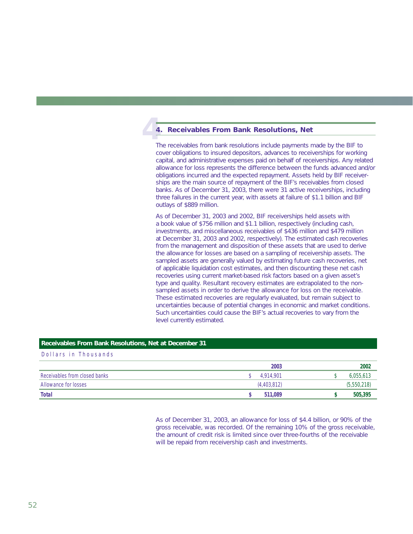# **4**. **4. Receivables From Bank Resolutions, Net**

The receivables from bank resolutions include payments made by the BIF to cover obligations to insured depositors, advances to receiverships for working capital, and administrative expenses paid on behalf of receiverships. Any related allowance for loss represents the difference between the funds advanced and/or obligations incurred and the expected repayment. Assets held by BIF receiverships are the main source of repayment of the BIF's receivables from closed banks. As of December 31, 2003, there were 31 active receiverships, including three failures in the current year, with assets at failure of \$1.1 billion and BIF outlays of \$889 million.

As of December 31, 2003 and 2002, BIF receiverships held assets with a book value of \$756 million and \$1.1 billion, respectively (including cash, investments, and miscellaneous receivables of \$436 million and \$479 million at December 31, 2003 and 2002, respectively). The estimated cash recoveries from the management and disposition of these assets that are used to derive the allowance for losses are based on a sampling of receivership assets. The sampled assets are generally valued by estimating future cash recoveries, net of applicable liquidation cost estimates, and then discounting these net cash recoveries using current market-based risk factors based on a given asset's type and quality. Resultant recovery estimates are extrapolated to the nonsampled assets in order to derive the allowance for loss on the receivable. These estimated recoveries are regularly evaluated, but remain subject to uncertainties because of potential changes in economic and market conditions. Such uncertainties could cause the BIF's actual recoveries to vary from the level currently estimated.

### **Receivables From Bank Resolutions, Net at December 31**

Dollars in Thousands

|                               | 2003        | 2002        |
|-------------------------------|-------------|-------------|
| Receivables from closed banks | 4.914.901   | 6,055,613   |
| Allowance for losses          | (4,403,812) | (5,550,218) |
| Total                         | 511.089     | 505,395     |

As of December 31, 2003, an allowance for loss of \$4.4 billion, or 90% of the gross receivable, was recorded. Of the remaining 10% of the gross receivable, the amount of credit risk is limited since over three-fourths of the receivable will be repaid from receivership cash and investments.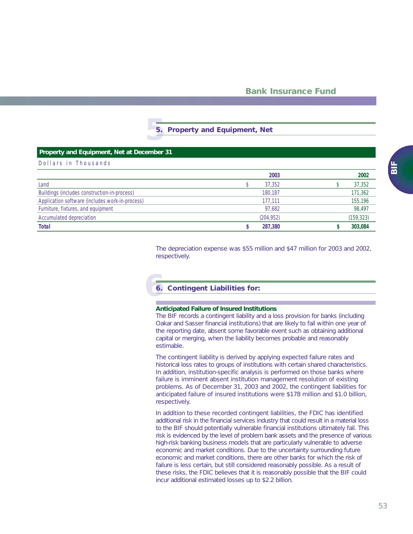# **5 5. Property and Equipment, Net**

| Property and Equipment, Net at December 31      |            |            |
|-------------------------------------------------|------------|------------|
| Dollars in Thousands                            |            |            |
|                                                 | 2003       | 2002       |
| Land                                            | 37,352     | 37,352     |
| Buildings (includes construction-in-process)    | 180.187    | 171,362    |
| Application software (includes work-in-process) | 177,111    | 155,196    |
| Furniture, fixtures, and equipment              | 97,682     | 98,497     |
| Accumulated depreciation                        | (204, 952) | (159, 323) |
| <b>Total</b>                                    | 287,380    | 303,084    |

The depreciation expense was \$55 million and \$47 million for 2003 and 2002, respectively.

# **6 6. Contingent Liabilities for:**

### **Anticipated Failure of Insured Institutions**

The BIF records a contingent liability and a loss provision for banks (including Oakar and Sasser financial institutions) that are likely to fail within one year of the reporting date, absent some favorable event such as obtaining additional capital or merging, when the liability becomes probable and reasonably estimable.

The contingent liability is derived by applying expected failure rates and historical loss rates to groups of institutions with certain shared characteristics. In addition, institution-specific analysis is performed on those banks where failure is imminent absent institution management resolution of existing problems. As of December 31, 2003 and 2002, the contingent liabilities for anticipated failure of insured institutions were \$178 million and \$1.0 billion, respectively.

In addition to these recorded contingent liabilities, the FDIC has identified additional risk in the financial services industry that could result in a material loss to the BIF should potentially vulnerable financial institutions ultimately fail. This risk is evidenced by the level of problem bank assets and the presence of various high-risk banking business models that are particularly vulnerable to adverse economic and market conditions. Due to the uncertainty surrounding future economic and market conditions, there are other banks for which the risk of failure is less certain, but still considered reasonably possible. As a result of these risks, the FDIC believes that it is reasonably possible that the BIF could incur additional estimated losses up to \$2.2 billion.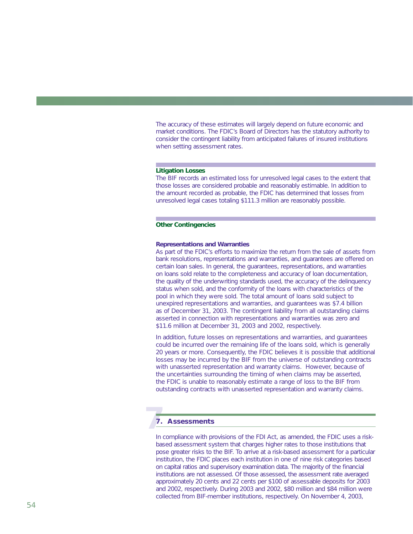The accuracy of these estimates will largely depend on future economic and market conditions. The FDIC's Board of Directors has the statutory authority to consider the contingent liability from anticipated failures of insured institutions when setting assessment rates.

#### **Litigation Losses**

The BIF records an estimated loss for unresolved legal cases to the extent that those losses are considered probable and reasonably estimable. In addition to the amount recorded as probable, the FDIC has determined that losses from unresolved legal cases totaling \$111.3 million are reasonably possible.

### **Other Contingencies**

### *Representations and Warranties*

As part of the FDIC's efforts to maximize the return from the sale of assets from bank resolutions, representations and warranties, and guarantees are offered on certain loan sales. In general, the guarantees, representations, and warranties on loans sold relate to the completeness and accuracy of loan documentation, the quality of the underwriting standards used, the accuracy of the delinquency status when sold, and the conformity of the loans with characteristics of the pool in which they were sold. The total amount of loans sold subject to unexpired representations and warranties, and guarantees was \$7.4 billion as of December 31, 2003. The contingent liability from all outstanding claims asserted in connection with representations and warranties was zero and \$11.6 million at December 31, 2003 and 2002, respectively.

In addition, future losses on representations and warranties, and guarantees could be incurred over the remaining life of the loans sold, which is generally 20 years or more. Consequently, the FDIC believes it is possible that additional losses may be incurred by the BIF from the universe of outstanding contracts with unasserted representation and warranty claims. However, because of the uncertainties surrounding the timing of when claims may be asserted, the FDIC is unable to reasonably estimate a range of loss to the BIF from outstanding contracts with unasserted representation and warranty claims.

# **7 7. Assessments**

In compliance with provisions of the FDI Act, as amended, the FDIC uses a riskbased assessment system that charges higher rates to those institutions that pose greater risks to the BIF. To arrive at a risk-based assessment for a particular institution, the FDIC places each institution in one of nine risk categories based on capital ratios and supervisory examination data. The majority of the financial institutions are not assessed. Of those assessed, the assessment rate averaged approximately 20 cents and 22 cents per \$100 of assessable deposits for 2003 and 2002, respectively. During 2003 and 2002, \$80 million and \$84 million were collected from BIF-member institutions, respectively. On November 4, 2003,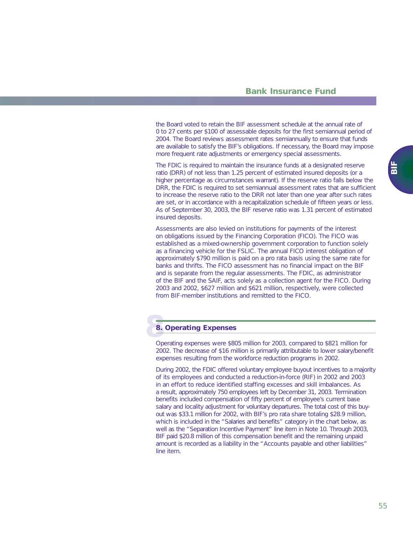the Board voted to retain the BIF assessment schedule at the annual rate of 0 to 27 cents per \$100 of assessable deposits for the first semiannual period of 2004. The Board reviews assessment rates semiannually to ensure that funds are available to satisfy the BIF's obligations. If necessary, the Board may impose more frequent rate adjustments or emergency special assessments.

The FDIC is required to maintain the insurance funds at a designated reserve ratio (DRR) of not less than 1.25 percent of estimated insured deposits (or a higher percentage as circumstances warrant). If the reserve ratio falls below the DRR, the FDIC is required to set semiannual assessment rates that are sufficient to increase the reserve ratio to the DRR not later than one year after such rates are set, or in accordance with a recapitalization schedule of fifteen years or less. As of September 30, 2003, the BIF reserve ratio was 1.31 percent of estimated insured deposits.

Assessments are also levied on institutions for payments of the interest on obligations issued by the Financing Corporation (FICO). The FICO was established as a mixed-ownership government corporation to function solely as a financing vehicle for the FSLIC. The annual FICO interest obligation of approximately \$790 million is paid on a pro rata basis using the same rate for banks and thrifts. The FICO assessment has no financial impact on the BIF and is separate from the regular assessments. The FDIC, as administrator of the BIF and the SAIF, acts solely as a collection agent for the FICO. During 2003 and 2002, \$627 million and \$621 million, respectively, were collected from BIF-member institutions and remitted to the FICO.

# **8. 8. Operating Expenses**

Operating expenses were \$805 million for 2003, compared to \$821 million for 2002. The decrease of \$16 million is primarily attributable to lower salary/benefit expenses resulting from the workforce reduction programs in 2002.

During 2002, the FDIC offered voluntary employee buyout incentives to a majority of its employees and conducted a reduction-in-force (RIF) in 2002 and 2003 in an effort to reduce identified staffing excesses and skill imbalances. As a result, approximately 750 employees left by December 31, 2003. Termination benefits included compensation of fifty percent of employee's current base salary and locality adjustment for voluntary departures. The total cost of this buyout was \$33.1 million for 2002, with BIF's pro rata share totaling \$28.9 million, which is included in the "Salaries and benefits" category in the chart below, as well as the "Separation Incentive Payment" line item in Note 10. Through 2003, BIF paid \$20.8 million of this compensation benefit and the remaining unpaid amount is recorded as a liability in the "Accounts payable and other liabilities" line item.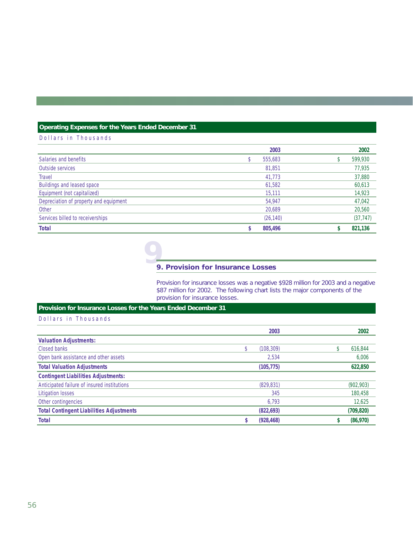## **Operating Expenses for the Years Ended December 31**

## Dollars in Thousands

|                                        | 2003      | 2002      |
|----------------------------------------|-----------|-----------|
| Salaries and benefits                  | 555,683   | 599,930   |
| Outside services                       | 81,851    | 77,935    |
| <b>Travel</b>                          | 41,773    | 37,880    |
| Buildings and leased space             | 61,582    | 60,613    |
| Equipment (not capitalized)            | 15,111    | 14,923    |
| Depreciation of property and equipment | 54,947    | 47,042    |
| Other                                  | 20,689    | 20,560    |
| Services billed to receiverships       | (26, 140) | (37, 747) |
| <b>Total</b>                           | 805,496   | 821,136   |

# **9 9. Provision for Insurance Losses**

Provision for insurance losses was a negative \$928 million for 2003 and a negative \$87 million for 2002. The following chart lists the major components of the provision for insurance losses.

## **Provision for Insurance Losses for the Years Ended December 31**

## Dollars in Thousands

|                                                 | 2003       | 2002       |
|-------------------------------------------------|------------|------------|
| <b>Valuation Adjustments:</b>                   |            |            |
| Closed banks                                    | (108, 309) | 616,844    |
| Open bank assistance and other assets           | 2.534      | 6,006      |
| <b>Total Valuation Adjustments</b>              | (105, 775) | 622,850    |
| <b>Contingent Liabilities Adjustments:</b>      |            |            |
| Anticipated failure of insured institutions     | (829, 831) | (902, 903) |
| <b>Litigation losses</b>                        | 345        | 180,458    |
| Other contingencies                             | 6.793      | 12,625     |
| <b>Total Contingent Liabilities Adjustments</b> | (822, 693) | (709, 820) |
| <b>Total</b>                                    | (928, 468) | (86,970)   |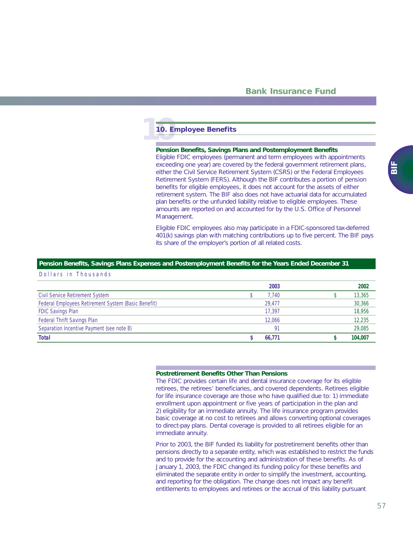# **10 10. Employee Benefits**

#### **Pension Benefits, Savings Plans and Postemployment Benefits**

Eligible FDIC employees (permanent and term employees with appointments exceeding one year) are covered by the federal government retirement plans, either the Civil Service Retirement System (CSRS) or the Federal Employees Retirement System (FERS). Although the BIF contributes a portion of pension benefits for eligible employees, it does not account for the assets of either retirement system. The BIF also does not have actuarial data for accumulated plan benefits or the unfunded liability relative to eligible employees. These amounts are reported on and accounted for by the U.S. Office of Personnel Management.

Eligible FDIC employees also may participate in a FDIC-sponsored tax-deferred 401(k) savings plan with matching contributions up to five percent. The BIF pays its share of the employer's portion of all related costs.

### **Pension Benefits, Savings Plans Expenses and Postemployment Benefits for the Years Ended December 31**

Dollars in Thousands

|                                                     | 2003      | 2002    |
|-----------------------------------------------------|-----------|---------|
| <b>Civil Service Retirement System</b>              | 7.740     | 13,365  |
| Federal Employees Retirement System (Basic Benefit) | 29.477    | 30,366  |
| <b>FDIC Savings Plan</b>                            | 17.397    | 18,956  |
| Federal Thrift Savings Plan                         | 12,066    | 12,235  |
| Separation Incentive Payment (see note 8)           | <b>Q1</b> | 29,085  |
| <b>Total</b>                                        | 66.771    | 104.007 |

#### **Postretirement Benefits Other Than Pensions**

The FDIC provides certain life and dental insurance coverage for its eligible retirees, the retirees' beneficiaries, and covered dependents. Retirees eligible for life insurance coverage are those who have qualified due to: 1) immediate enrollment upon appointment or five years of participation in the plan and 2) eligibility for an immediate annuity. The life insurance program provides basic coverage at no cost to retirees and allows converting optional coverages to direct-pay plans. Dental coverage is provided to all retirees eligible for an immediate annuity.

Prior to 2003, the BIF funded its liability for postretirement benefits other than pensions directly to a separate entity, which was established to restrict the funds and to provide for the accounting and administration of these benefits. As of January 1, 2003, the FDIC changed its funding policy for these benefits and eliminated the separate entity in order to simplify the investment, accounting, and reporting for the obligation. The change does not impact any benefit entitlements to employees and retirees or the accrual of this liability pursuant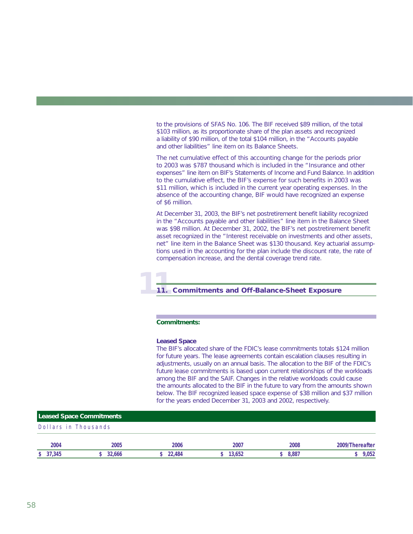to the provisions of SFAS No. 106. The BIF received \$89 million, of the total \$103 million, as its proportionate share of the plan assets and recognized a liability of \$90 million, of the total \$104 million, in the "Accounts payable and other liabilities" line item on its Balance Sheets.

The net cumulative effect of this accounting change for the periods prior to 2003 was \$787 thousand which is included in the "Insurance and other expenses" line item on BIF's Statements of Income and Fund Balance. In addition to the cumulative effect, the BIF's expense for such benefits in 2003 was \$11 million, which is included in the current year operating expenses. In the absence of the accounting change, BIF would have recognized an expense of \$6 million.

At December 31, 2003, the BIF's net postretirement benefit liability recognized in the "Accounts payable and other liabilities" line item in the Balance Sheet was \$98 million. At December 31, 2002, the BIF's net postretirement benefit asset recognized in the "Interest receivable on investments and other assets, net" line item in the Balance Sheet was \$130 thousand. Key actuarial assumptions used in the accounting for the plan include the discount rate, the rate of compensation increase, and the dental coverage trend rate.

# **11 11. Commitments and Off-Balance-Sheet Exposure**

### **Commitments:**

#### *Leased Space*

The BIF's allocated share of the FDIC's lease commitments totals \$124 million for future years. The lease agreements contain escalation clauses resulting in adjustments, usually on an annual basis. The allocation to the BIF of the FDIC's future lease commitments is based upon current relationships of the workloads among the BIF and the SAIF. Changes in the relative workloads could cause the amounts allocated to the BIF in the future to vary from the amounts shown below. The BIF recognized leased space expense of \$38 million and \$37 million for the years ended December 31, 2003 and 2002, respectively.

| <b>Leased Space Commitments</b> |        |        |        |       |                 |
|---------------------------------|--------|--------|--------|-------|-----------------|
| Dollars in Thousands            |        |        |        |       |                 |
| 2004                            | 2005   | 2006   | 2007   | 2008  | 2009/Thereafter |
| \$37,345                        | 32.666 | 22,484 | 13,652 | 8,887 | 9.052           |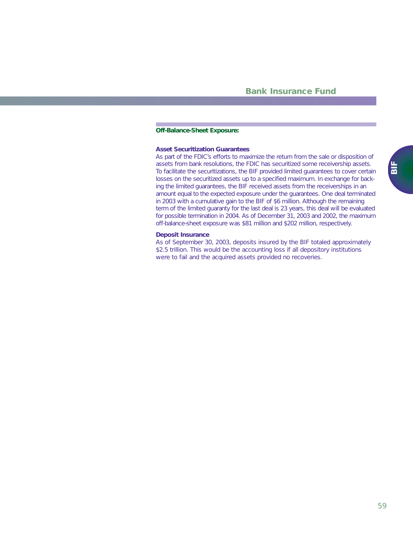### **Off-Balance-Sheet Exposure:**

## *Asset Securitization Guarantees*

As part of the FDIC's efforts to maximize the return from the sale or disposition of assets from bank resolutions, the FDIC has securitized some receivership assets. To facilitate the securitizations, the BIF provided limited guarantees to cover certain losses on the securitized assets up to a specified maximum. In exchange for backing the limited guarantees, the BIF received assets from the receiverships in an amount equal to the expected exposure under the guarantees. One deal terminated in 2003 with a cumulative gain to the BIF of \$6 million. Although the remaining term of the limited guaranty for the last deal is 23 years, this deal will be evaluated for possible termination in 2004. As of December 31, 2003 and 2002, the maximum off-balance-sheet exposure was \$81 million and \$202 million, respectively.

#### *Deposit Insurance*

As of September 30, 2003, deposits insured by the BIF totaled approximately \$2.5 trillion. This would be the accounting loss if all depository institutions were to fail and the acquired assets provided no recoveries.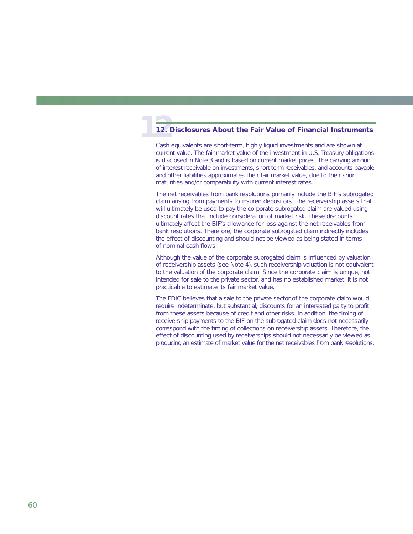# **12.1 12. Disclosures About the Fair Value of Financial Instruments**

Cash equivalents are short-term, highly liquid investments and are shown at current value. The fair market value of the investment in U.S. Treasury obligations is disclosed in Note 3 and is based on current market prices. The carrying amount of interest receivable on investments, short-term receivables, and accounts payable and other liabilities approximates their fair market value, due to their short maturities and/or comparability with current interest rates.

The net receivables from bank resolutions primarily include the BIF's subrogated claim arising from payments to insured depositors. The receivership assets that will ultimately be used to pay the corporate subrogated claim are valued using discount rates that include consideration of market risk. These discounts ultimately affect the BIF's allowance for loss against the net receivables from bank resolutions. Therefore, the corporate subrogated claim indirectly includes the effect of discounting and should not be viewed as being stated in terms of nominal cash flows.

Although the value of the corporate subrogated claim is influenced by valuation of receivership assets (see Note 4), such receivership valuation is not equivalent to the valuation of the corporate claim. Since the corporate claim is unique, not intended for sale to the private sector, and has no established market, it is not practicable to estimate its fair market value.

The FDIC believes that a sale to the private sector of the corporate claim would require indeterminate, but substantial, discounts for an interested party to profit from these assets because of credit and other risks. In addition, the timing of receivership payments to the BIF on the subrogated claim does not necessarily correspond with the timing of collections on receivership assets. Therefore, the effect of discounting used by receiverships should not necessarily be viewed as producing an estimate of market value for the net receivables from bank resolutions.